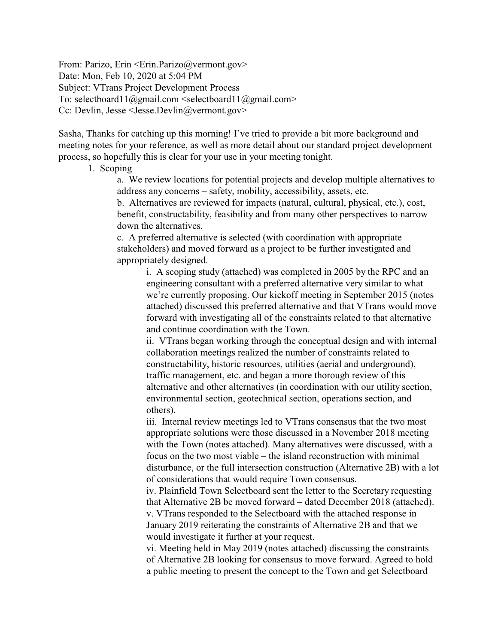From: Parizo, Erin <Erin.Parizo@vermont.gov> Date: Mon, Feb 10, 2020 at 5:04 PM Subject: VTrans Project Development Process To: selectboard11@gmail.com <selectboard11@gmail.com> Cc: Devlin, Jesse <Jesse.Devlin@vermont.gov>

Sasha, Thanks for catching up this morning! I've tried to provide a bit more background and meeting notes for your reference, as well as more detail about our standard project development process, so hopefully this is clear for your use in your meeting tonight.

## 1. Scoping

a. We review locations for potential projects and develop multiple alternatives to address any concerns – safety, mobility, accessibility, assets, etc.

b. Alternatives are reviewed for impacts (natural, cultural, physical, etc.), cost, benefit, constructability, feasibility and from many other perspectives to narrow down the alternatives.

c. A preferred alternative is selected (with coordination with appropriate stakeholders) and moved forward as a project to be further investigated and appropriately designed.

i. A scoping study (attached) was completed in 2005 by the RPC and an engineering consultant with a preferred alternative very similar to what we're currently proposing. Our kickoff meeting in September 2015 (notes attached) discussed this preferred alternative and that VTrans would move forward with investigating all of the constraints related to that alternative and continue coordination with the Town.

ii. VTrans began working through the conceptual design and with internal collaboration meetings realized the number of constraints related to constructability, historic resources, utilities (aerial and underground), traffic management, etc. and began a more thorough review of this alternative and other alternatives (in coordination with our utility section, environmental section, geotechnical section, operations section, and others).

iii. Internal review meetings led to VTrans consensus that the two most appropriate solutions were those discussed in a November 2018 meeting with the Town (notes attached). Many alternatives were discussed, with a focus on the two most viable – the island reconstruction with minimal disturbance, or the full intersection construction (Alternative 2B) with a lot of considerations that would require Town consensus.

iv. Plainfield Town Selectboard sent the letter to the Secretary requesting that Alternative 2B be moved forward – dated December 2018 (attached). v. VTrans responded to the Selectboard with the attached response in January 2019 reiterating the constraints of Alternative 2B and that we would investigate it further at your request.

vi. Meeting held in May 2019 (notes attached) discussing the constraints of Alternative 2B looking for consensus to move forward. Agreed to hold a public meeting to present the concept to the Town and get Selectboard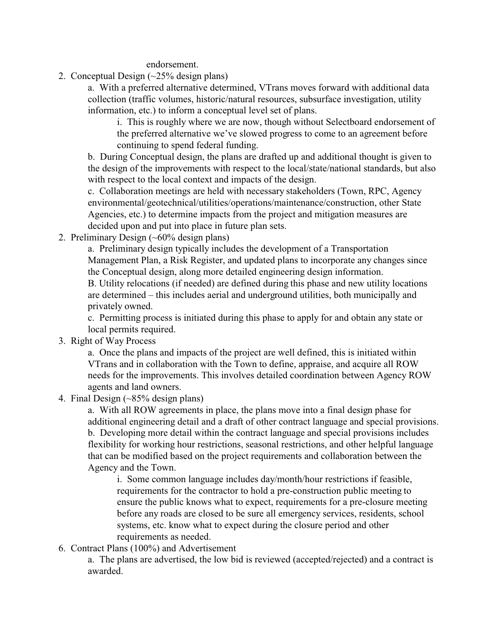endorsement.

2. Conceptual Design (~25% design plans)

a. With a preferred alternative determined, VTrans moves forward with additional data collection (traffic volumes, historic/natural resources, subsurface investigation, utility information, etc.) to inform a conceptual level set of plans.

i. This is roughly where we are now, though without Selectboard endorsement of the preferred alternative we've slowed progress to come to an agreement before continuing to spend federal funding.

b. During Conceptual design, the plans are drafted up and additional thought is given to the design of the improvements with respect to the local/state/national standards, but also with respect to the local context and impacts of the design.

c. Collaboration meetings are held with necessary stakeholders (Town, RPC, Agency environmental/geotechnical/utilities/operations/maintenance/construction, other State Agencies, etc.) to determine impacts from the project and mitigation measures are decided upon and put into place in future plan sets.

2. Preliminary Design (~60% design plans)

a. Preliminary design typically includes the development of a Transportation Management Plan, a Risk Register, and updated plans to incorporate any changes since the Conceptual design, along more detailed engineering design information.

B. Utility relocations (if needed) are defined during this phase and new utility locations are determined – this includes aerial and underground utilities, both municipally and privately owned.

c. Permitting process is initiated during this phase to apply for and obtain any state or local permits required.

3. Right of Way Process

a. Once the plans and impacts of the project are well defined, this is initiated within VTrans and in collaboration with the Town to define, appraise, and acquire all ROW needs for the improvements. This involves detailed coordination between Agency ROW agents and land owners.

4. Final Design (~85% design plans)

a. With all ROW agreements in place, the plans move into a final design phase for additional engineering detail and a draft of other contract language and special provisions. b. Developing more detail within the contract language and special provisions includes flexibility for working hour restrictions, seasonal restrictions, and other helpful language that can be modified based on the project requirements and collaboration between the Agency and the Town.

i. Some common language includes day/month/hour restrictions if feasible, requirements for the contractor to hold a pre-construction public meeting to ensure the public knows what to expect, requirements for a pre-closure meeting before any roads are closed to be sure all emergency services, residents, school systems, etc. know what to expect during the closure period and other requirements as needed.

6. Contract Plans (100%) and Advertisement

a. The plans are advertised, the low bid is reviewed (accepted/rejected) and a contract is awarded.